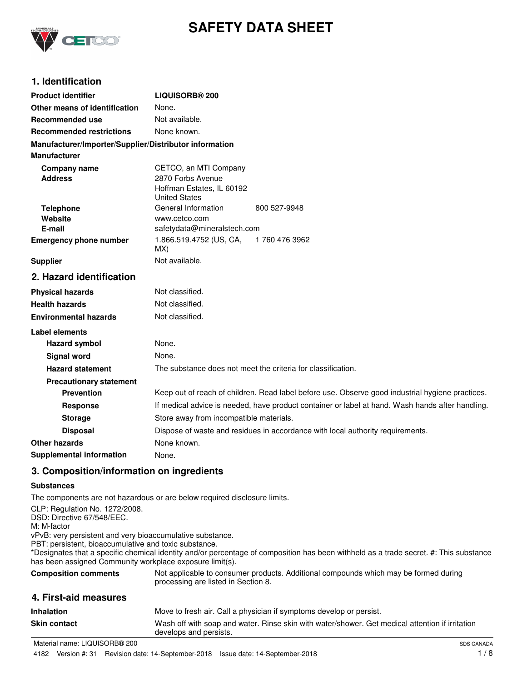

# **SAFETY DATA SHEET**

## **1. Identification**

| <b>Product identifier</b>                              | <b>LIQUISORB® 200</b>                                                                            |                                                              |
|--------------------------------------------------------|--------------------------------------------------------------------------------------------------|--------------------------------------------------------------|
| Other means of identification                          | None.                                                                                            |                                                              |
| <b>Recommended use</b>                                 | Not available.                                                                                   |                                                              |
| <b>Recommended restrictions</b>                        | None known.                                                                                      |                                                              |
| Manufacturer/Importer/Supplier/Distributor information |                                                                                                  |                                                              |
| <b>Manufacturer</b>                                    |                                                                                                  |                                                              |
| <b>Company name</b><br><b>Address</b>                  | CETCO, an MTI Company<br>2870 Forbs Avenue<br>Hoffman Estates, IL 60192<br><b>United States</b>  |                                                              |
| <b>Telephone</b>                                       | General Information                                                                              | 800 527-9948                                                 |
| Website<br>E-mail                                      | www.cetco.com                                                                                    |                                                              |
| <b>Emergency phone number</b>                          | safetydata@mineralstech.com<br>1.866.519.4752 (US, CA,                                           | 1 760 476 3962                                               |
|                                                        | MX)                                                                                              |                                                              |
| <b>Supplier</b>                                        | Not available.                                                                                   |                                                              |
| 2. Hazard identification                               |                                                                                                  |                                                              |
| <b>Physical hazards</b>                                | Not classified.                                                                                  |                                                              |
| <b>Health hazards</b>                                  | Not classified.                                                                                  |                                                              |
| <b>Environmental hazards</b>                           | Not classified.                                                                                  |                                                              |
| Label elements                                         |                                                                                                  |                                                              |
| <b>Hazard symbol</b>                                   | None.                                                                                            |                                                              |
| <b>Signal word</b>                                     | None.                                                                                            |                                                              |
| <b>Hazard statement</b>                                |                                                                                                  | The substance does not meet the criteria for classification. |
| <b>Precautionary statement</b>                         |                                                                                                  |                                                              |
| <b>Prevention</b>                                      | Keep out of reach of children. Read label before use. Observe good industrial hygiene practices. |                                                              |
| <b>Response</b>                                        | If medical advice is needed, have product container or label at hand. Wash hands after handling. |                                                              |
| <b>Storage</b>                                         | Store away from incompatible materials.                                                          |                                                              |
| <b>Disposal</b>                                        | Dispose of waste and residues in accordance with local authority requirements.                   |                                                              |
| Other hazards                                          | None known.                                                                                      |                                                              |
| <b>Supplemental information</b>                        | None.                                                                                            |                                                              |

## **3. Composition/information on ingredients**

#### **Substances**

The components are not hazardous or are below required disclosure limits.

CLP: Regulation No. 1272/2008. DSD: Directive 67/548/EEC. M: M-factor vPvB: very persistent and very bioaccumulative substance. PBT: persistent, bioaccumulative and toxic substance. \*Designates that a specific chemical identity and/or percentage of composition has been withheld as a trade secret. #: This substance has been assigned Community workplace exposure limit(s). Not applicable to consumer products. Additional compounds which may be formed during processing are listed in Section 8. **Composition comments 4. First-aid measures Inhalation** Move to fresh air. Call a physician if symptoms develop or persist. Wash off with soap and water. Rinse skin with water/shower. Get medical attention if irritation develops and persists. **Skin contact**

Material name: LIQUISORB® 200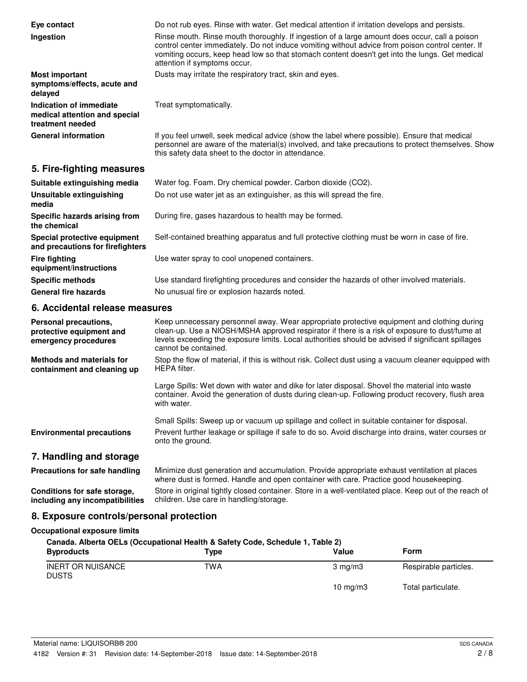| Eye contact<br>Ingestion                                                     | Do not rub eyes. Rinse with water. Get medical attention if irritation develops and persists.<br>Rinse mouth. Rinse mouth thoroughly. If ingestion of a large amount does occur, call a poison<br>control center immediately. Do not induce vomiting without advice from poison control center. If<br>vomiting occurs, keep head low so that stomach content doesn't get into the lungs. Get medical<br>attention if symptoms occur. |
|------------------------------------------------------------------------------|--------------------------------------------------------------------------------------------------------------------------------------------------------------------------------------------------------------------------------------------------------------------------------------------------------------------------------------------------------------------------------------------------------------------------------------|
| <b>Most important</b><br>symptoms/effects, acute and<br>delayed              | Dusts may irritate the respiratory tract, skin and eyes.                                                                                                                                                                                                                                                                                                                                                                             |
| Indication of immediate<br>medical attention and special<br>treatment needed | Treat symptomatically.                                                                                                                                                                                                                                                                                                                                                                                                               |
| <b>General information</b>                                                   | If you feel unwell, seek medical advice (show the label where possible). Ensure that medical<br>personnel are aware of the material(s) involved, and take precautions to protect themselves. Show<br>this safety data sheet to the doctor in attendance.                                                                                                                                                                             |

## **5. Fire-fighting measures**

| Suitable extinguishing media                                     | Water fog. Foam. Dry chemical powder. Carbon dioxide (CO2).                                   |
|------------------------------------------------------------------|-----------------------------------------------------------------------------------------------|
| Unsuitable extinguishing<br>media                                | Do not use water jet as an extinguisher, as this will spread the fire.                        |
| Specific hazards arising from<br>the chemical                    | During fire, gases hazardous to health may be formed.                                         |
| Special protective equipment<br>and precautions for firefighters | Self-contained breathing apparatus and full protective clothing must be worn in case of fire. |
| <b>Fire fighting</b><br>equipment/instructions                   | Use water spray to cool unopened containers.                                                  |
| <b>Specific methods</b>                                          | Use standard firefighting procedures and consider the hazards of other involved materials.    |
| <b>General fire hazards</b>                                      | No unusual fire or explosion hazards noted.                                                   |

## **6. Accidental release measures**

| Personal precautions.<br>protective equipment and<br>emergency procedures | Keep unnecessary personnel away. Wear appropriate protective equipment and clothing during<br>clean-up. Use a NIOSH/MSHA approved respirator if there is a risk of exposure to dust/fume at<br>levels exceeding the exposure limits. Local authorities should be advised if significant spillages<br>cannot be contained. |
|---------------------------------------------------------------------------|---------------------------------------------------------------------------------------------------------------------------------------------------------------------------------------------------------------------------------------------------------------------------------------------------------------------------|
| Methods and materials for<br>containment and cleaning up                  | Stop the flow of material, if this is without risk. Collect dust using a vacuum cleaner equipped with<br>HEPA filter.                                                                                                                                                                                                     |
|                                                                           | Large Spills: Wet down with water and dike for later disposal. Shovel the material into waste<br>container. Avoid the generation of dusts during clean-up. Following product recovery, flush area<br>with water.                                                                                                          |
|                                                                           | Small Spills: Sweep up or vacuum up spillage and collect in suitable container for disposal.                                                                                                                                                                                                                              |
| <b>Environmental precautions</b>                                          | Prevent further leakage or spillage if safe to do so. Avoid discharge into drains, water courses or<br>onto the ground.                                                                                                                                                                                                   |
| 7. Handling and storage                                                   |                                                                                                                                                                                                                                                                                                                           |
| Precautions for safe handling                                             | Minimize dust generation and accumulation. Provide appropriate exhaust ventilation at places<br>where dust is formed. Handle and open container with care. Practice good housekeeping.                                                                                                                                    |

Store in original tightly closed container. Store in a well-ventilated place. Keep out of the reach of children. Use care in handling/storage. **Conditions for safe storage, including any incompatibilities**

## **8. Exposure controls/personal protection**

## **Occupational exposure limits**

| Canada. Alberta OELs (Occupational Health & Safety Code, Schedule 1, Table 2) |      |                  |                       |
|-------------------------------------------------------------------------------|------|------------------|-----------------------|
| <b>Byproducts</b>                                                             | Type | Value            | Form                  |
| <b>INERT OR NUISANCE</b><br><b>DUSTS</b>                                      | TWA  | $3 \text{ ma/m}$ | Respirable particles. |
|                                                                               |      | 10 $mq/m3$       | Total particulate.    |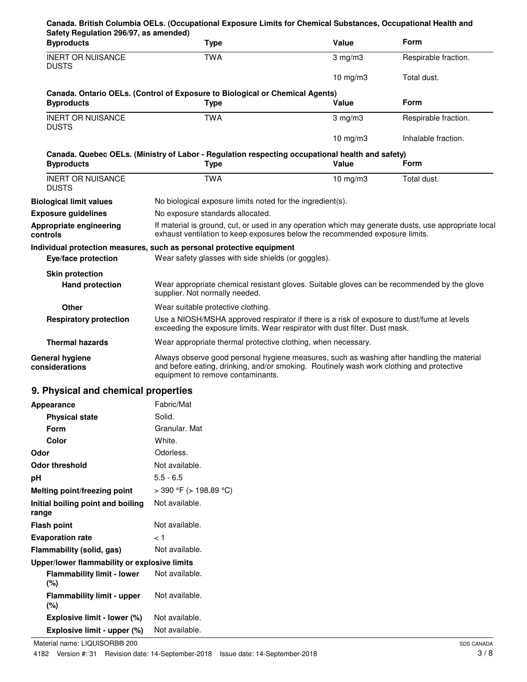| Safety Regulation 296/97, as amended)<br><b>Byproducts</b>                        | <b>Type</b>                                                                                                                                                                                                                 | Value            | Form                 |
|-----------------------------------------------------------------------------------|-----------------------------------------------------------------------------------------------------------------------------------------------------------------------------------------------------------------------------|------------------|----------------------|
| <b>INERT OR NUISANCE</b><br><b>DUSTS</b>                                          | <b>TWA</b>                                                                                                                                                                                                                  | $3$ mg/m $3$     | Respirable fraction. |
|                                                                                   |                                                                                                                                                                                                                             | 10 $mg/m3$       | Total dust.          |
| <b>Byproducts</b>                                                                 | Canada. Ontario OELs. (Control of Exposure to Biological or Chemical Agents)<br><b>Type</b>                                                                                                                                 | Value            | <b>Form</b>          |
| <b>INERT OR NUISANCE</b><br><b>DUSTS</b>                                          | <b>TWA</b>                                                                                                                                                                                                                  | $3 \text{ mg/m}$ | Respirable fraction. |
|                                                                                   |                                                                                                                                                                                                                             | 10 $mg/m3$       | Inhalable fraction.  |
| <b>Byproducts</b>                                                                 | Canada. Quebec OELs. (Ministry of Labor - Regulation respecting occupational health and safety)<br><b>Type</b>                                                                                                              | Value            | Form                 |
| <b>INERT OR NUISANCE</b><br><b>DUSTS</b>                                          | <b>TWA</b>                                                                                                                                                                                                                  | 10 $mg/m3$       | Total dust.          |
| <b>Biological limit values</b>                                                    | No biological exposure limits noted for the ingredient(s).                                                                                                                                                                  |                  |                      |
| <b>Exposure guidelines</b>                                                        | No exposure standards allocated.                                                                                                                                                                                            |                  |                      |
| Appropriate engineering<br>controls                                               | If material is ground, cut, or used in any operation which may generate dusts, use appropriate local<br>exhaust ventilation to keep exposures below the recommended exposure limits.                                        |                  |                      |
|                                                                                   | Individual protection measures, such as personal protective equipment                                                                                                                                                       |                  |                      |
| Eye/face protection                                                               | Wear safety glasses with side shields (or goggles).                                                                                                                                                                         |                  |                      |
| <b>Skin protection</b>                                                            |                                                                                                                                                                                                                             |                  |                      |
| <b>Hand protection</b>                                                            | Wear appropriate chemical resistant gloves. Suitable gloves can be recommended by the glove<br>supplier. Not normally needed.                                                                                               |                  |                      |
| Other                                                                             | Wear suitable protective clothing.                                                                                                                                                                                          |                  |                      |
| <b>Respiratory protection</b>                                                     | Use a NIOSH/MSHA approved respirator if there is a risk of exposure to dust/fume at levels<br>exceeding the exposure limits. Wear respirator with dust filter. Dust mask.                                                   |                  |                      |
| <b>Thermal hazards</b>                                                            | Wear appropriate thermal protective clothing, when necessary.                                                                                                                                                               |                  |                      |
| <b>General hygiene</b><br>considerations                                          | Always observe good personal hygiene measures, such as washing after handling the material<br>and before eating, drinking, and/or smoking. Routinely wash work clothing and protective<br>equipment to remove contaminants. |                  |                      |
| 9. Physical and chemical properties                                               |                                                                                                                                                                                                                             |                  |                      |
| Appearance                                                                        | Fabric/Mat                                                                                                                                                                                                                  |                  |                      |
| <b>Physical state</b>                                                             | Solid.                                                                                                                                                                                                                      |                  |                      |
| Form                                                                              | Granular. Mat                                                                                                                                                                                                               |                  |                      |
| <b>Color</b>                                                                      | White.                                                                                                                                                                                                                      |                  |                      |
| Odor                                                                              | Odorless.                                                                                                                                                                                                                   |                  |                      |
| <b>Odor threshold</b>                                                             | Not available.                                                                                                                                                                                                              |                  |                      |
| pH                                                                                | $5.5 - 6.5$                                                                                                                                                                                                                 |                  |                      |
| Melting point/freezing point                                                      | $>$ 390 °F ( $>$ 198.89 °C)                                                                                                                                                                                                 |                  |                      |
| Initial boiling point and boiling<br>range                                        | Not available.                                                                                                                                                                                                              |                  |                      |
| <b>Flash point</b>                                                                | Not available.                                                                                                                                                                                                              |                  |                      |
| <b>Evaporation rate</b>                                                           | ا >                                                                                                                                                                                                                         |                  |                      |
| Flammability (solid, gas)                                                         | Not available.                                                                                                                                                                                                              |                  |                      |
| Upper/lower flammability or explosive limits<br><b>Flammability limit - lower</b> | Not available.                                                                                                                                                                                                              |                  |                      |
| (%)<br><b>Flammability limit - upper</b><br>$(\%)$                                | Not available.                                                                                                                                                                                                              |                  |                      |
| Explosive limit - lower (%)                                                       | Not available.                                                                                                                                                                                                              |                  |                      |
| Explosive limit - upper (%)                                                       | Not available.                                                                                                                                                                                                              |                  |                      |
|                                                                                   |                                                                                                                                                                                                                             |                  |                      |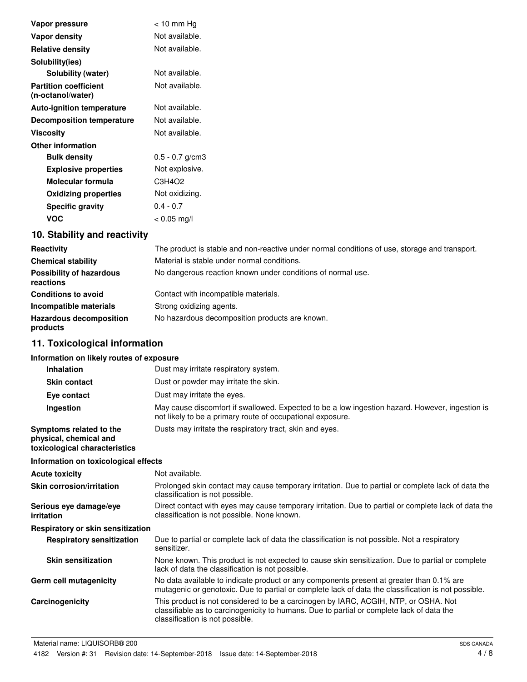| Vapor pressure                                    | $<$ 10 mm Hg      |
|---------------------------------------------------|-------------------|
| Vapor density                                     | Not available.    |
| <b>Relative density</b>                           | Not available.    |
| Solubility(ies)                                   |                   |
| Solubility (water)                                | Not available.    |
| <b>Partition coefficient</b><br>(n-octanol/water) | Not available.    |
| <b>Auto-ignition temperature</b>                  | Not available.    |
| <b>Decomposition temperature</b>                  | Not available.    |
| <b>Viscosity</b>                                  | Not available.    |
| <b>Other information</b>                          |                   |
| <b>Bulk density</b>                               | $0.5 - 0.7$ g/cm3 |
| <b>Explosive properties</b>                       | Not explosive.    |
| Molecular formula                                 | C3H4O2            |
| <b>Oxidizing properties</b>                       | Not oxidizing.    |
| <b>Specific gravity</b>                           | $0.4 - 0.7$       |
| <b>VOC</b>                                        | $< 0.05$ mg/l     |

# **10. Stability and reactivity**

| Reactivity                                   | The product is stable and non-reactive under normal conditions of use, storage and transport. |
|----------------------------------------------|-----------------------------------------------------------------------------------------------|
| <b>Chemical stability</b>                    | Material is stable under normal conditions.                                                   |
| <b>Possibility of hazardous</b><br>reactions | No dangerous reaction known under conditions of normal use.                                   |
| <b>Conditions to avoid</b>                   | Contact with incompatible materials.                                                          |
| Incompatible materials                       | Strong oxidizing agents.                                                                      |
| <b>Hazardous decomposition</b><br>products   | No hazardous decomposition products are known.                                                |

# **11. Toxicological information**

### **Information on likely routes of exposure**

|            | <b>Inhalation</b>                                                                  | Dust may irritate respiratory system.                                                                                                                                                                               |
|------------|------------------------------------------------------------------------------------|---------------------------------------------------------------------------------------------------------------------------------------------------------------------------------------------------------------------|
|            | <b>Skin contact</b>                                                                | Dust or powder may irritate the skin.                                                                                                                                                                               |
|            | Eye contact                                                                        | Dust may irritate the eyes.                                                                                                                                                                                         |
|            | Ingestion                                                                          | May cause discomfort if swallowed. Expected to be a low ingestion hazard. However, ingestion is<br>not likely to be a primary route of occupational exposure.                                                       |
|            | Symptoms related to the<br>physical, chemical and<br>toxicological characteristics | Dusts may irritate the respiratory tract, skin and eyes.                                                                                                                                                            |
|            | Information on toxicological effects                                               |                                                                                                                                                                                                                     |
|            | <b>Acute toxicity</b>                                                              | Not available.                                                                                                                                                                                                      |
|            | Skin corrosion/irritation                                                          | Prolonged skin contact may cause temporary irritation. Due to partial or complete lack of data the<br>classification is not possible.                                                                               |
| irritation | Serious eye damage/eye                                                             | Direct contact with eyes may cause temporary irritation. Due to partial or complete lack of data the<br>classification is not possible. None known.                                                                 |
|            | Respiratory or skin sensitization                                                  |                                                                                                                                                                                                                     |
|            | <b>Respiratory sensitization</b>                                                   | Due to partial or complete lack of data the classification is not possible. Not a respiratory<br>sensitizer.                                                                                                        |
|            | <b>Skin sensitization</b>                                                          | None known. This product is not expected to cause skin sensitization. Due to partial or complete<br>lack of data the classification is not possible.                                                                |
|            | Germ cell mutagenicity                                                             | No data available to indicate product or any components present at greater than 0.1% are<br>mutagenic or genotoxic. Due to partial or complete lack of data the classification is not possible.                     |
|            | Carcinogenicity                                                                    | This product is not considered to be a carcinogen by IARC, ACGIH, NTP, or OSHA. Not<br>classifiable as to carcinogenicity to humans. Due to partial or complete lack of data the<br>classification is not possible. |
|            |                                                                                    |                                                                                                                                                                                                                     |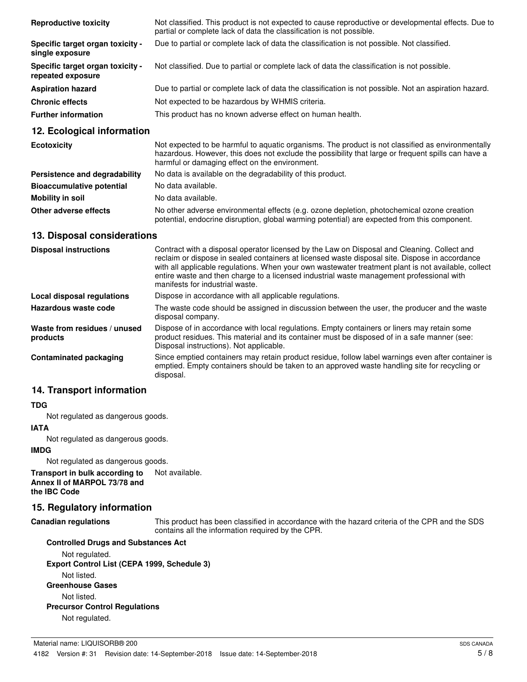| <b>Reproductive toxicity</b>                          | Not classified. This product is not expected to cause reproductive or developmental effects. Due to<br>partial or complete lack of data the classification is not possible. |
|-------------------------------------------------------|-----------------------------------------------------------------------------------------------------------------------------------------------------------------------------|
| Specific target organ toxicity -<br>single exposure   | Due to partial or complete lack of data the classification is not possible. Not classified.                                                                                 |
| Specific target organ toxicity -<br>repeated exposure | Not classified. Due to partial or complete lack of data the classification is not possible.                                                                                 |
| <b>Aspiration hazard</b>                              | Due to partial or complete lack of data the classification is not possible. Not an aspiration hazard.                                                                       |
| <b>Chronic effects</b>                                | Not expected to be hazardous by WHMIS criteria.                                                                                                                             |
| <b>Further information</b>                            | This product has no known adverse effect on human health.                                                                                                                   |

### **12. Ecological information**

| <b>Ecotoxicity</b>               | Not expected to be harmful to aquatic organisms. The product is not classified as environmentally<br>hazardous. However, this does not exclude the possibility that large or frequent spills can have a<br>harmful or damaging effect on the environment. |
|----------------------------------|-----------------------------------------------------------------------------------------------------------------------------------------------------------------------------------------------------------------------------------------------------------|
| Persistence and degradability    | No data is available on the degradability of this product.                                                                                                                                                                                                |
| <b>Bioaccumulative potential</b> | No data available.                                                                                                                                                                                                                                        |
| Mobility in soil                 | No data available.                                                                                                                                                                                                                                        |
| Other adverse effects            | No other adverse environmental effects (e.g. ozone depletion, photochemical ozone creation<br>potential, endocrine disruption, global warming potential) are expected from this component.                                                                |

### **13. Disposal considerations**

| <b>Disposal instructions</b>             | Contract with a disposal operator licensed by the Law on Disposal and Cleaning. Collect and<br>reclaim or dispose in sealed containers at licensed waste disposal site. Dispose in accordance<br>with all applicable regulations. When your own wastewater treatment plant is not available, collect<br>entire waste and then charge to a licensed industrial waste management professional with<br>manifests for industrial waste. |
|------------------------------------------|-------------------------------------------------------------------------------------------------------------------------------------------------------------------------------------------------------------------------------------------------------------------------------------------------------------------------------------------------------------------------------------------------------------------------------------|
| Local disposal regulations               | Dispose in accordance with all applicable regulations.                                                                                                                                                                                                                                                                                                                                                                              |
| Hazardous waste code                     | The waste code should be assigned in discussion between the user, the producer and the waste<br>disposal company.                                                                                                                                                                                                                                                                                                                   |
| Waste from residues / unused<br>products | Dispose of in accordance with local regulations. Empty containers or liners may retain some<br>product residues. This material and its container must be disposed of in a safe manner (see:<br>Disposal instructions). Not applicable.                                                                                                                                                                                              |
| Contaminated packaging                   | Since emptied containers may retain product residue, follow label warnings even after container is<br>emptied. Empty containers should be taken to an approved waste handling site for recycling or<br>disposal.                                                                                                                                                                                                                    |

## **14. Transport information**

#### **TDG**

Not regulated as dangerous goods.

#### **IATA**

Not regulated as dangerous goods.

#### **IMDG**

Not regulated as dangerous goods.

#### **Transport in bulk according to** Not available. **Annex II of MARPOL 73/78 and the IBC Code**

#### **15. Regulatory information**

#### **Canadian regulations**

This product has been classified in accordance with the hazard criteria of the CPR and the SDS contains all the information required by the CPR.

## **Controlled Drugs and Substances Act** Not regulated. **Export Control List (CEPA 1999, Schedule 3)** Not listed. **Greenhouse Gases** Not listed. **Precursor Control Regulations** Not regulated.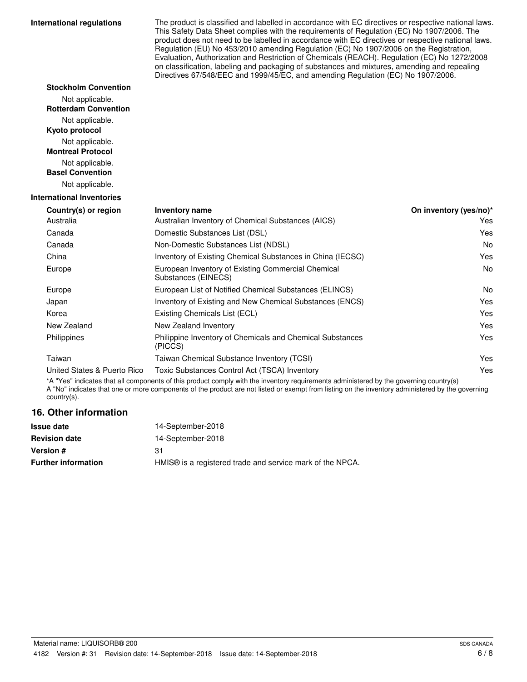#### **International regulations**

**Stockholm Convention** Not applicable. **Rotterdam Convention**

The product is classified and labelled in accordance with EC directives or respective national laws. This Safety Data Sheet complies with the requirements of Regulation (EC) No 1907/2006. The product does not need to be labelled in accordance with EC directives or respective national laws. Regulation (EU) No 453/2010 amending Regulation (EC) No 1907/2006 on the Registration, Evaluation, Authorization and Restriction of Chemicals (REACH). Regulation (EC) No 1272/2008 on classification, labeling and packaging of substances and mixtures, amending and repealing Directives 67/548/EEC and 1999/45/EC, and amending Regulation (EC) No 1907/2006.

| Not applicable.                            |                                                                           |                        |
|--------------------------------------------|---------------------------------------------------------------------------|------------------------|
| Kyoto protocol                             |                                                                           |                        |
| Not applicable.                            |                                                                           |                        |
| <b>Montreal Protocol</b>                   |                                                                           |                        |
| Not applicable.<br><b>Basel Convention</b> |                                                                           |                        |
|                                            |                                                                           |                        |
| Not applicable.                            |                                                                           |                        |
| <b>International Inventories</b>           |                                                                           |                        |
| Country(s) or region                       | <b>Inventory name</b>                                                     | On inventory (yes/no)* |
| Australia                                  | Australian Inventory of Chemical Substances (AICS)                        | <b>Yes</b>             |
| Canada                                     | Domestic Substances List (DSL)                                            | Yes                    |
| Canada                                     | Non-Domestic Substances List (NDSL)                                       | No                     |
| China                                      | Inventory of Existing Chemical Substances in China (IECSC)                | Yes                    |
| Europe                                     | European Inventory of Existing Commercial Chemical<br>Substances (EINECS) | No                     |
| Europe                                     | European List of Notified Chemical Substances (ELINCS)                    | No                     |
| Japan                                      | Inventory of Existing and New Chemical Substances (ENCS)                  | Yes                    |
| Korea                                      | Existing Chemicals List (ECL)                                             | Yes                    |
| New Zealand                                | New Zealand Inventory                                                     | Yes                    |
| Philippines                                | Philippine Inventory of Chemicals and Chemical Substances<br>(PICCS)      | Yes                    |
| Taiwan                                     | Taiwan Chemical Substance Inventory (TCSI)                                | Yes                    |
| United States & Puerto Rico                | Toxic Substances Control Act (TSCA) Inventory                             | Yes                    |

\*A "Yes" indicates that all components of this product comply with the inventory requirements administered by the governing country(s) A "No" indicates that one or more components of the product are not listed or exempt from listing on the inventory administered by the governing country(s).

### **16. Other information**

| 14-September-2018                                                     |
|-----------------------------------------------------------------------|
| 14-September-2018                                                     |
| 31                                                                    |
| HMIS <sup>®</sup> is a registered trade and service mark of the NPCA. |
|                                                                       |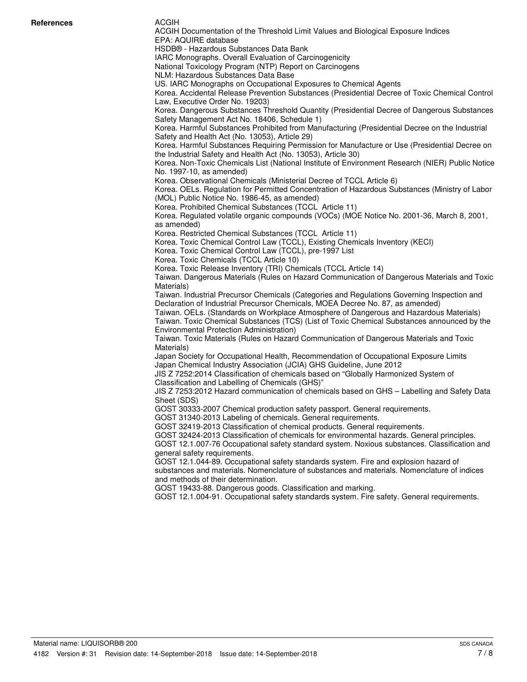#### ACGIH

ACGIH Documentation of the Threshold Limit Values and Biological Exposure Indices EPA: AQUIRE database HSDB® - Hazardous Substances Data Bank IARC Monographs. Overall Evaluation of Carcinogenicity National Toxicology Program (NTP) Report on Carcinogens NLM: Hazardous Substances Data Base US. IARC Monographs on Occupational Exposures to Chemical Agents Korea. Accidental Release Prevention Substances (Presidential Decree of Toxic Chemical Control Law, Executive Order No. 19203) Korea. Dangerous Substances Threshold Quantity (Presidential Decree of Dangerous Substances Safety Management Act No. 18406, Schedule 1) Korea. Harmful Substances Prohibited from Manufacturing (Presidential Decree on the Industrial Safety and Health Act (No. 13053), Article 29) Korea. Harmful Substances Requiring Permission for Manufacture or Use (Presidential Decree on the Industrial Safety and Health Act (No. 13053), Article 30) Korea. Non-Toxic Chemicals List (National Institute of Environment Research (NIER) Public Notice No. 1997-10, as amended) Korea. Observational Chemicals (Ministerial Decree of TCCL Article 6) Korea. OELs. Regulation for Permitted Concentration of Hazardous Substances (Ministry of Labor (MOL) Public Notice No. 1986-45, as amended) Korea. Prohibited Chemical Substances (TCCL Article 11) Korea. Regulated volatile organic compounds (VOCs) (MOE Notice No. 2001-36, March 8, 2001, as amended) Korea. Restricted Chemical Substances (TCCL Article 11) Korea. Toxic Chemical Control Law (TCCL), Existing Chemicals Inventory (KECI) Korea. Toxic Chemical Control Law (TCCL), pre-1997 List Korea. Toxic Chemicals (TCCL Article 10) Korea. Toxic Release Inventory (TRI) Chemicals (TCCL Article 14) Taiwan. Dangerous Materials (Rules on Hazard Communication of Dangerous Materials and Toxic Materials) Taiwan. Industrial Precursor Chemicals (Categories and Regulations Governing Inspection and Declaration of Industrial Precursor Chemicals, MOEA Decree No. 87, as amended) Taiwan. OELs. (Standards on Workplace Atmosphere of Dangerous and Hazardous Materials) Taiwan. Toxic Chemical Substances (TCS) (List of Toxic Chemical Substances announced by the Environmental Protection Administration) Taiwan. Toxic Materials (Rules on Hazard Communication of Dangerous Materials and Toxic Materials) Japan Society for Occupational Health, Recommendation of Occupational Exposure Limits Japan Chemical Industry Association (JCIA) GHS Guideline, June 2012 JIS Z 7252:2014 Classification of chemicals based on "Globally Harmonized System of Classification and Labelling of Chemicals (GHS)" JIS Z 7253:2012 Hazard communication of chemicals based on GHS – Labelling and Safety Data Sheet (SDS) GOST 30333-2007 Chemical production safety passport. General requirements. GOST 31340-2013 Labeling of chemicals. General requirements. GOST 32419-2013 Classification of chemical products. General requirements. GOST 32424-2013 Classification of chemicals for environmental hazards. General principles. GOST 12.1.007-76 Occupational safety standard system. Noxious substances. Classification and general safety requirements. GOST 12.1.044-89. Occupational safety standards system. Fire and explosion hazard of substances and materials. Nomenclature of substances and materials. Nomenclature of indices and methods of their determination. GOST 19433-88. Dangerous goods. Classification and marking. GOST 12.1.004-91. Occupational safety standards system. Fire safety. General requirements.